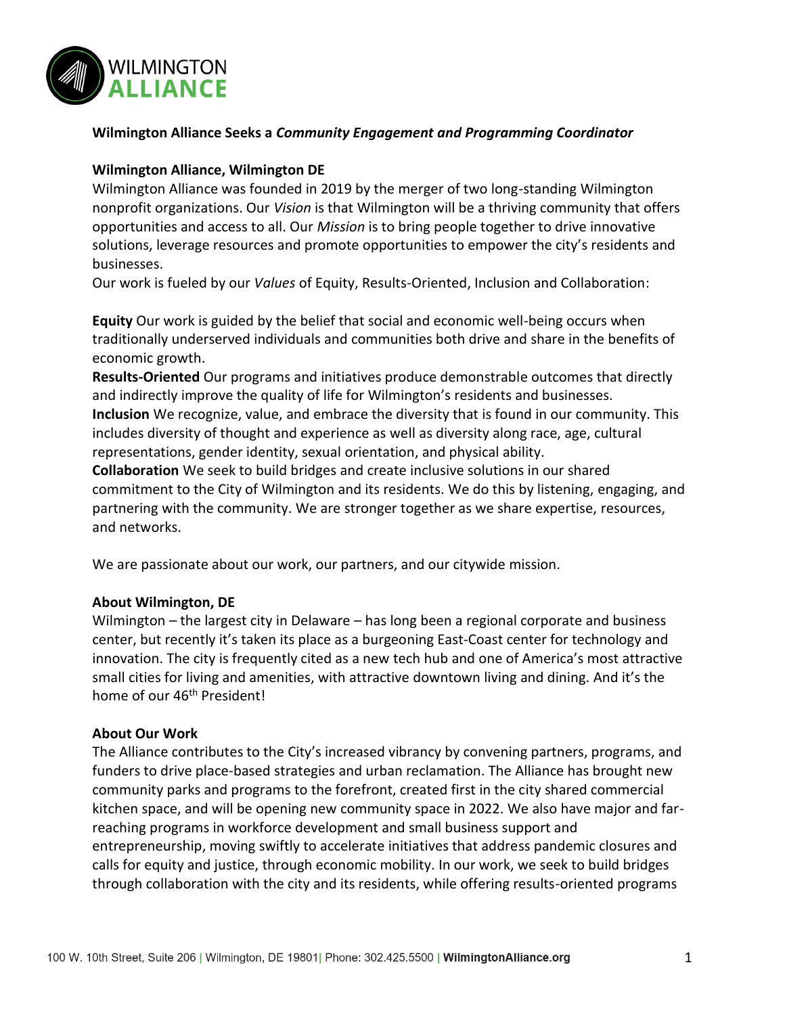

# **Wilmington Alliance Seeks a** *Community Engagement and Programming Coordinator*

#### **Wilmington Alliance, Wilmington DE**

Wilmington Alliance was founded in 2019 by the merger of two long-standing Wilmington nonprofit organizations. Our *Vision* is that Wilmington will be a thriving community that offers opportunities and access to all. Our *Mission* is to bring people together to drive innovative solutions, leverage resources and promote opportunities to empower the city's residents and businesses.

Our work is fueled by our *Values* of Equity, Results-Oriented, Inclusion and Collaboration:

**Equity** Our work is guided by the belief that social and economic well-being occurs when traditionally underserved individuals and communities both drive and share in the benefits of economic growth.

**Results-Oriented** Our programs and initiatives produce demonstrable outcomes that directly and indirectly improve the quality of life for Wilmington's residents and businesses. **Inclusion** We recognize, value, and embrace the diversity that is found in our community. This

includes diversity of thought and experience as well as diversity along race, age, cultural representations, gender identity, sexual orientation, and physical ability.

**Collaboration** We seek to build bridges and create inclusive solutions in our shared commitment to the City of Wilmington and its residents. We do this by listening, engaging, and partnering with the community. We are stronger together as we share expertise, resources, and networks.

We are passionate about our work, our partners, and our citywide mission.

#### **About Wilmington, DE**

Wilmington – the largest city in Delaware – has long been a regional corporate and business center, but recently it's taken its place as a burgeoning East-Coast center for technology and innovation. The city is frequently cited as a new tech hub and one of America's most attractive small cities for living and amenities, with attractive downtown living and dining. And it's the home of our 46<sup>th</sup> President!

#### **About Our Work**

The Alliance contributes to the City's increased vibrancy by convening partners, programs, and funders to drive place-based strategies and urban reclamation. The Alliance has brought new community parks and programs to the forefront, created first in the city shared commercial kitchen space, and will be opening new community space in 2022. We also have major and farreaching programs in workforce development and small business support and entrepreneurship, moving swiftly to accelerate initiatives that address pandemic closures and calls for equity and justice, through economic mobility. In our work, we seek to build bridges through collaboration with the city and its residents, while offering results-oriented programs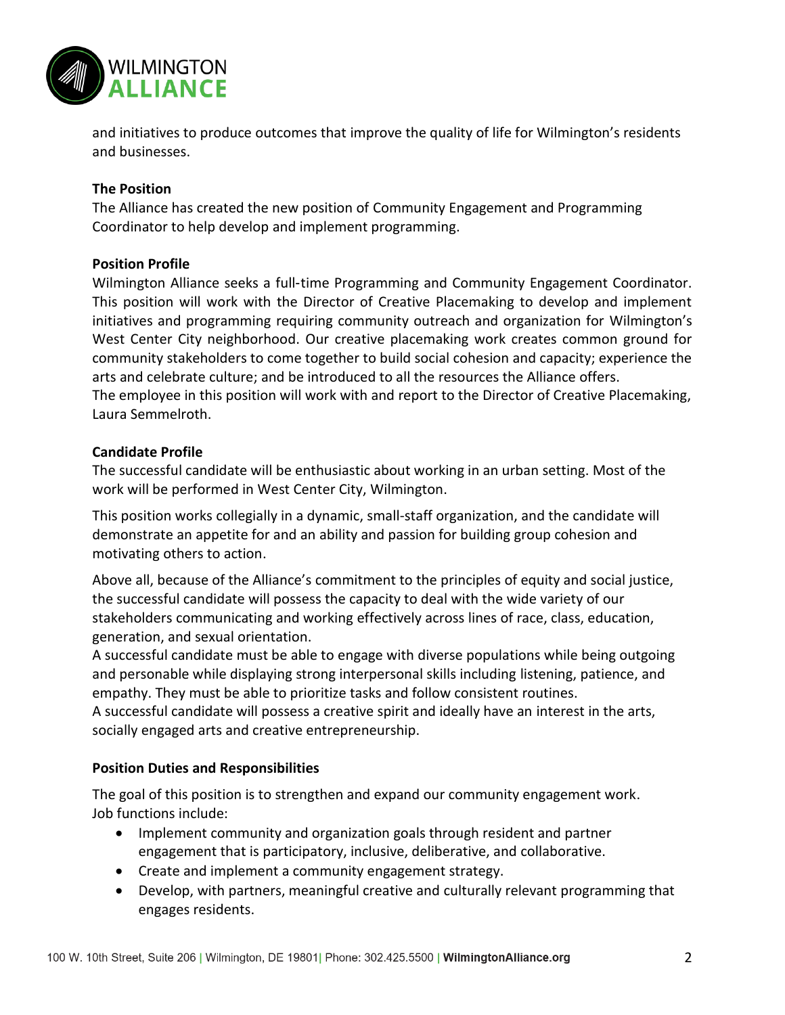

and initiatives to produce outcomes that improve the quality of life for Wilmington's residents and businesses.

# **The Position**

The Alliance has created the new position of Community Engagement and Programming Coordinator to help develop and implement programming.

# **Position Profile**

Wilmington Alliance seeks a full-time Programming and Community Engagement Coordinator. This position will work with the Director of Creative Placemaking to develop and implement initiatives and programming requiring community outreach and organization for Wilmington's West Center City neighborhood. Our creative placemaking work creates common ground for community stakeholders to come together to build social cohesion and capacity; experience the arts and celebrate culture; and be introduced to all the resources the Alliance offers. The employee in this position will work with and report to the Director of Creative Placemaking, Laura Semmelroth.

#### **Candidate Profile**

The successful candidate will be enthusiastic about working in an urban setting. Most of the work will be performed in West Center City, Wilmington.

This position works collegially in a dynamic, small-staff organization, and the candidate will demonstrate an appetite for and an ability and passion for building group cohesion and motivating others to action.

Above all, because of the Alliance's commitment to the principles of equity and social justice, the successful candidate will possess the capacity to deal with the wide variety of our stakeholders communicating and working effectively across lines of race, class, education, generation, and sexual orientation.

A successful candidate must be able to engage with diverse populations while being outgoing and personable while displaying strong interpersonal skills including listening, patience, and empathy. They must be able to prioritize tasks and follow consistent routines.

A successful candidate will possess a creative spirit and ideally have an interest in the arts, socially engaged arts and creative entrepreneurship.

# **Position Duties and Responsibilities**

The goal of this position is to strengthen and expand our community engagement work. Job functions include:

- Implement community and organization goals through resident and partner engagement that is participatory, inclusive, deliberative, and collaborative.
- Create and implement a community engagement strategy.
- Develop, with partners, meaningful creative and culturally relevant programming that engages residents.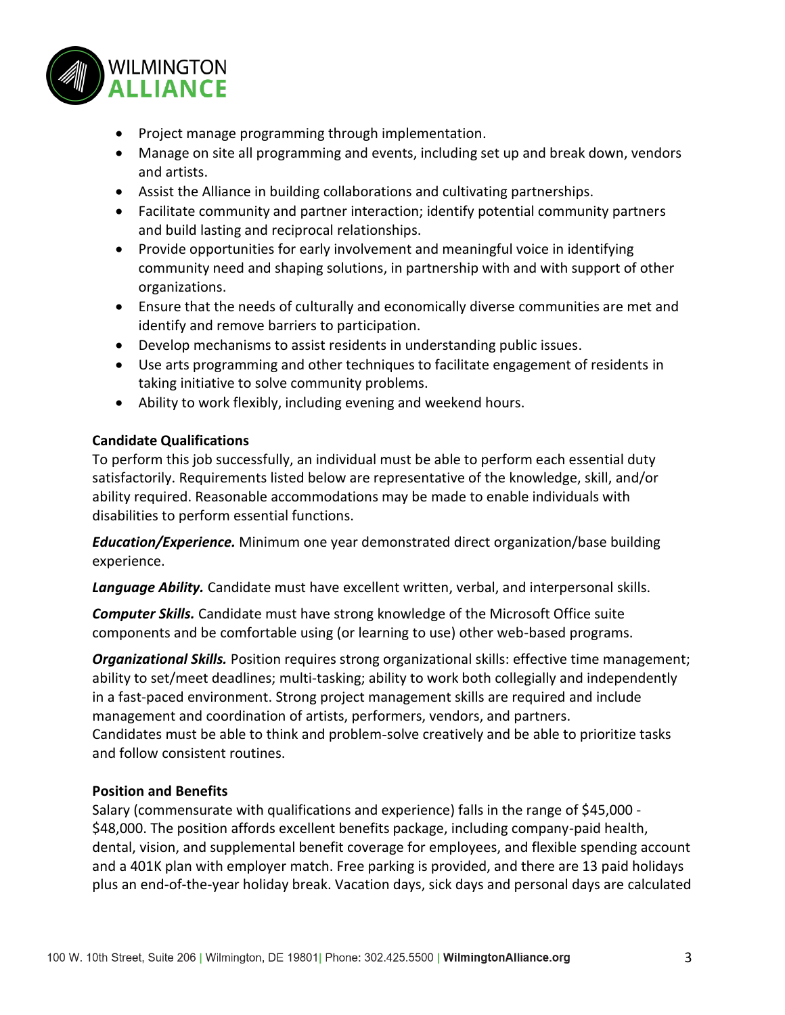

- Project manage programming through implementation.
- Manage on site all programming and events, including set up and break down, vendors and artists.
- Assist the Alliance in building collaborations and cultivating partnerships.
- Facilitate community and partner interaction; identify potential community partners and build lasting and reciprocal relationships.
- Provide opportunities for early involvement and meaningful voice in identifying community need and shaping solutions, in partnership with and with support of other organizations.
- Ensure that the needs of culturally and economically diverse communities are met and identify and remove barriers to participation.
- Develop mechanisms to assist residents in understanding public issues.
- Use arts programming and other techniques to facilitate engagement of residents in taking initiative to solve community problems.
- Ability to work flexibly, including evening and weekend hours.

# **Candidate Qualifications**

To perform this job successfully, an individual must be able to perform each essential duty satisfactorily. Requirements listed below are representative of the knowledge, skill, and/or ability required. Reasonable accommodations may be made to enable individuals with disabilities to perform essential functions.

*Education/Experience.* Minimum one year demonstrated direct organization/base building experience.

*Language Ability.* Candidate must have excellent written, verbal, and interpersonal skills.

*Computer Skills.* Candidate must have strong knowledge of the Microsoft Office suite components and be comfortable using (or learning to use) other web-based programs.

*Organizational Skills.* Position requires strong organizational skills: effective time management; ability to set/meet deadlines; multi-tasking; ability to work both collegially and independently in a fast-paced environment. Strong project management skills are required and include management and coordination of artists, performers, vendors, and partners. Candidates must be able to think and problem‐solve creatively and be able to prioritize tasks and follow consistent routines.

# **Position and Benefits**

Salary (commensurate with qualifications and experience) falls in the range of \$45,000 - \$48,000. The position affords excellent benefits package, including company-paid health, dental, vision, and supplemental benefit coverage for employees, and flexible spending account and a 401K plan with employer match. Free parking is provided, and there are 13 paid holidays plus an end-of-the-year holiday break. Vacation days, sick days and personal days are calculated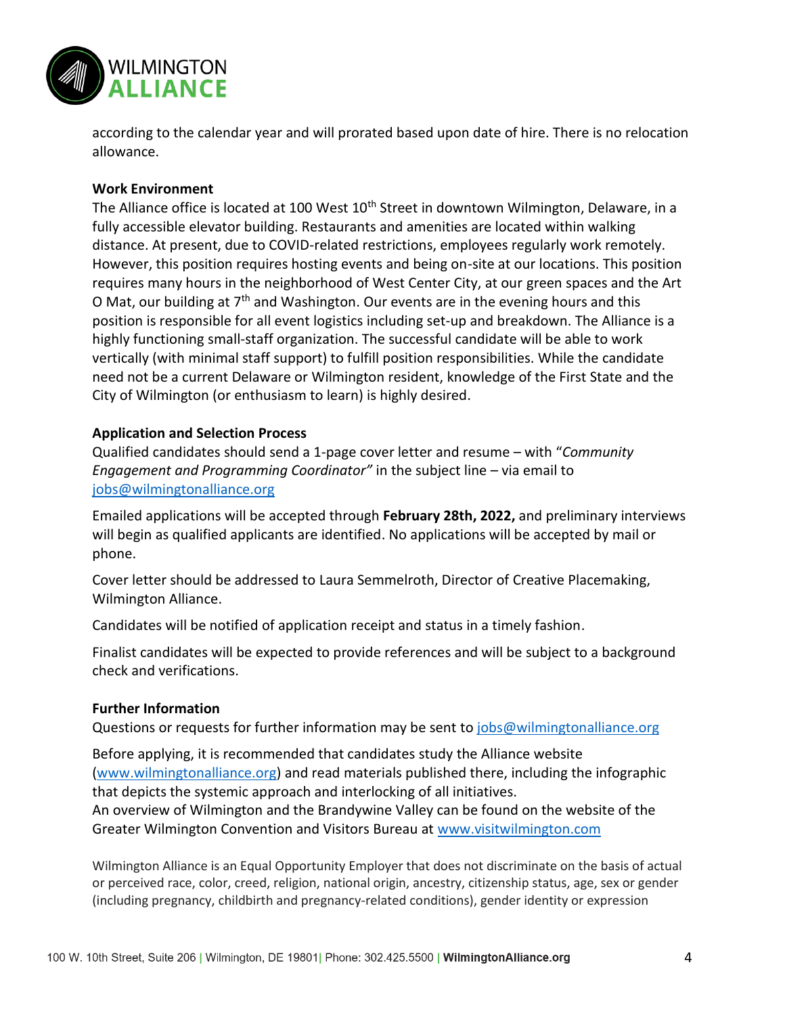

according to the calendar year and will prorated based upon date of hire. There is no relocation allowance.

# **Work Environment**

The Alliance office is located at 100 West 10<sup>th</sup> Street in downtown Wilmington, Delaware, in a fully accessible elevator building. Restaurants and amenities are located within walking distance. At present, due to COVID-related restrictions, employees regularly work remotely. However, this position requires hosting events and being on-site at our locations. This position requires many hours in the neighborhood of West Center City, at our green spaces and the Art O Mat, our building at  $7<sup>th</sup>$  and Washington. Our events are in the evening hours and this position is responsible for all event logistics including set-up and breakdown. The Alliance is a highly functioning small-staff organization. The successful candidate will be able to work vertically (with minimal staff support) to fulfill position responsibilities. While the candidate need not be a current Delaware or Wilmington resident, knowledge of the First State and the City of Wilmington (or enthusiasm to learn) is highly desired.

#### **Application and Selection Process**

Qualified candidates should send a 1-page cover letter and resume – with "*Community Engagement and Programming Coordinator"* in the subject line – via email to [jobs@wilmingtonalliance.org](mailto:jobs@wilmingtonalliance.org)

Emailed applications will be accepted through **February 28th, 2022,** and preliminary interviews will begin as qualified applicants are identified. No applications will be accepted by mail or phone.

Cover letter should be addressed to Laura Semmelroth, Director of Creative Placemaking, Wilmington Alliance.

Candidates will be notified of application receipt and status in a timely fashion.

Finalist candidates will be expected to provide references and will be subject to a background check and verifications.

#### **Further Information**

Questions or requests for further information may be sent to [jobs@wilmingtonalliance.org](mailto:jobs@wilmingtonalliance.org)

Before applying, it is recommended that candidates study the Alliance website [\(www.wilmingtonalliance.org\)](http://www.wilmingtonalliance.org/) and read materials published there, including the infographic that depicts the systemic approach and interlocking of all initiatives.

An overview of Wilmington and the Brandywine Valley can be found on the website of the Greater Wilmington Convention and Visitors Bureau at [www.visitwilmington.com](http://www.visitwilmington.com/)

Wilmington Alliance is an Equal Opportunity Employer that does not discriminate on the basis of actual or perceived race, color, creed, religion, national origin, ancestry, citizenship status, age, sex or gender (including pregnancy, childbirth and pregnancy-related conditions), gender identity or expression